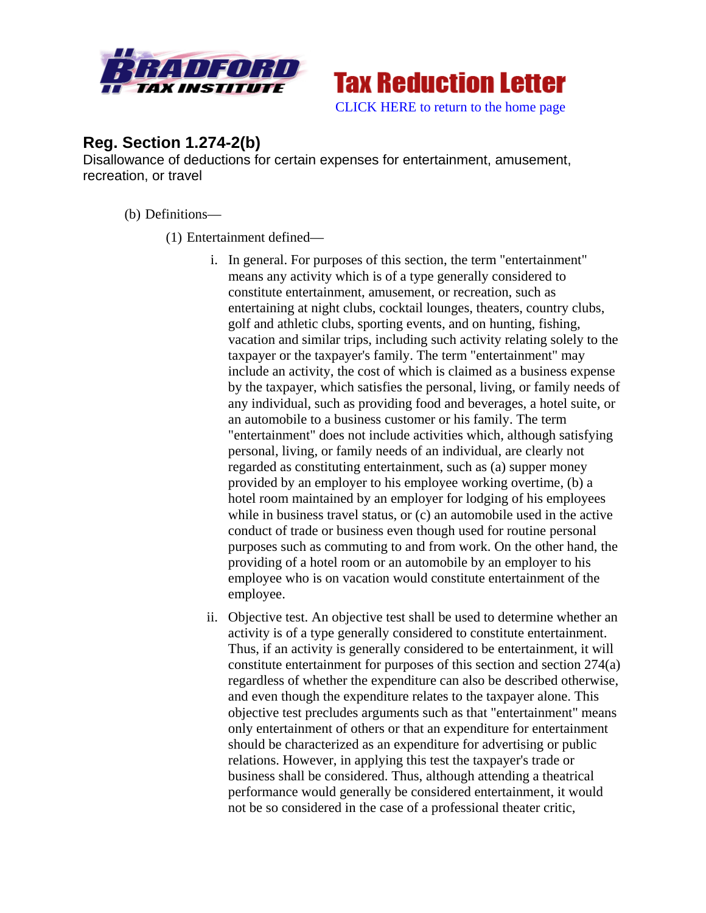



## **Reg. Section 1.274-2(b)**

Disallowance of deductions for certain expenses for entertainment, amusement, recreation, or travel

(b) Definitions—

(1) Entertainment defined—

- i. In general. For purposes of this section, the term "entertainment" means any activity which is of a type generally considered to constitute entertainment, amusement, or recreation, such as entertaining at night clubs, cocktail lounges, theaters, country clubs, golf and athletic clubs, sporting events, and on hunting, fishing, vacation and similar trips, including such activity relating solely to the taxpayer or the taxpayer's family. The term "entertainment" may include an activity, the cost of which is claimed as a business expense by the taxpayer, which satisfies the personal, living, or family needs of any individual, such as providing food and beverages, a hotel suite, or an automobile to a business customer or his family. The term "entertainment" does not include activities which, although satisfying personal, living, or family needs of an individual, are clearly not regarded as constituting entertainment, such as (a) supper money provided by an employer to his employee working overtime, (b) a hotel room maintained by an employer for lodging of his employees while in business travel status, or (c) an automobile used in the active conduct of trade or business even though used for routine personal purposes such as commuting to and from work. On the other hand, the providing of a hotel room or an automobile by an employer to his employee who is on vacation would constitute entertainment of the employee.
- ii. Objective test. An objective test shall be used to determine whether an activity is of a type generally considered to constitute entertainment. Thus, if an activity is generally considered to be entertainment, it will constitute entertainment for purposes of this section and section 274(a) regardless of whether the expenditure can also be described otherwise, and even though the expenditure relates to the taxpayer alone. This objective test precludes arguments such as that "entertainment" means only entertainment of others or that an expenditure for entertainment should be characterized as an expenditure for advertising or public relations. However, in applying this test the taxpayer's trade or business shall be considered. Thus, although attending a theatrical performance would generally be considered entertainment, it would not be so considered in the case of a professional theater critic,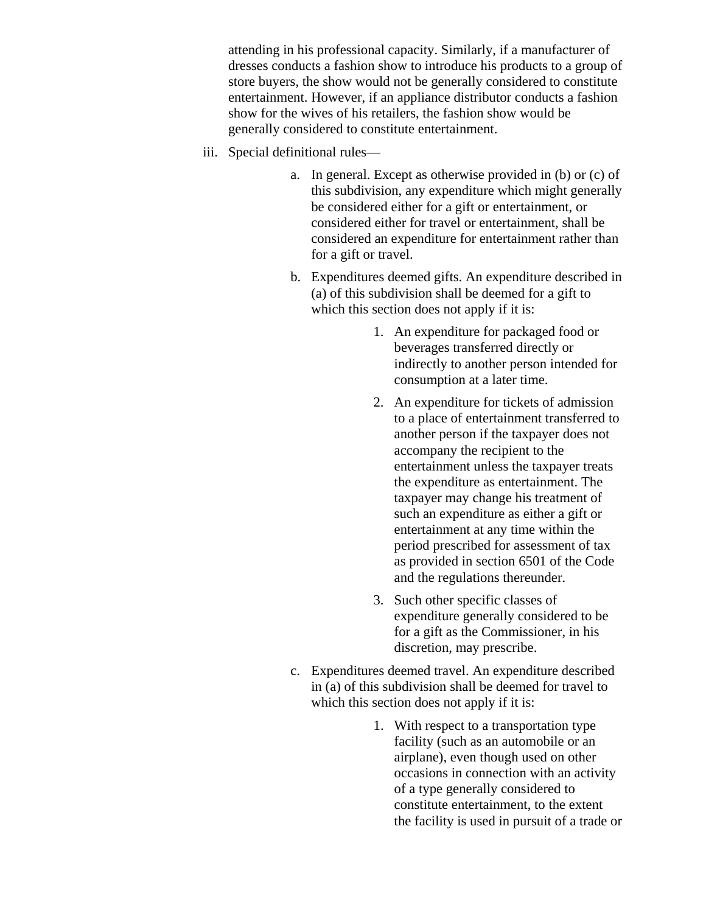attending in his professional capacity. Similarly, if a manufacturer of dresses conducts a fashion show to introduce his products to a group of store buyers, the show would not be generally considered to constitute entertainment. However, if an appliance distributor conducts a fashion show for the wives of his retailers, the fashion show would be generally considered to constitute entertainment.

- iii. Special definitional rules
	- a. In general. Except as otherwise provided in (b) or (c) of this subdivision, any expenditure which might generally be considered either for a gift or entertainment, or considered either for travel or entertainment, shall be considered an expenditure for entertainment rather than for a gift or travel.
	- b. Expenditures deemed gifts. An expenditure described in (a) of this subdivision shall be deemed for a gift to which this section does not apply if it is:
		- 1. An expenditure for packaged food or beverages transferred directly or indirectly to another person intended for consumption at a later time.
		- 2. An expenditure for tickets of admission to a place of entertainment transferred to another person if the taxpayer does not accompany the recipient to the entertainment unless the taxpayer treats the expenditure as entertainment. The taxpayer may change his treatment of such an expenditure as either a gift or entertainment at any time within the period prescribed for assessment of tax as provided in section 6501 of the Code and the regulations thereunder.
		- 3. Such other specific classes of expenditure generally considered to be for a gift as the Commissioner, in his discretion, may prescribe.
	- c. Expenditures deemed travel. An expenditure described in (a) of this subdivision shall be deemed for travel to which this section does not apply if it is:
		- 1. With respect to a transportation type facility (such as an automobile or an airplane), even though used on other occasions in connection with an activity of a type generally considered to constitute entertainment, to the extent the facility is used in pursuit of a trade or